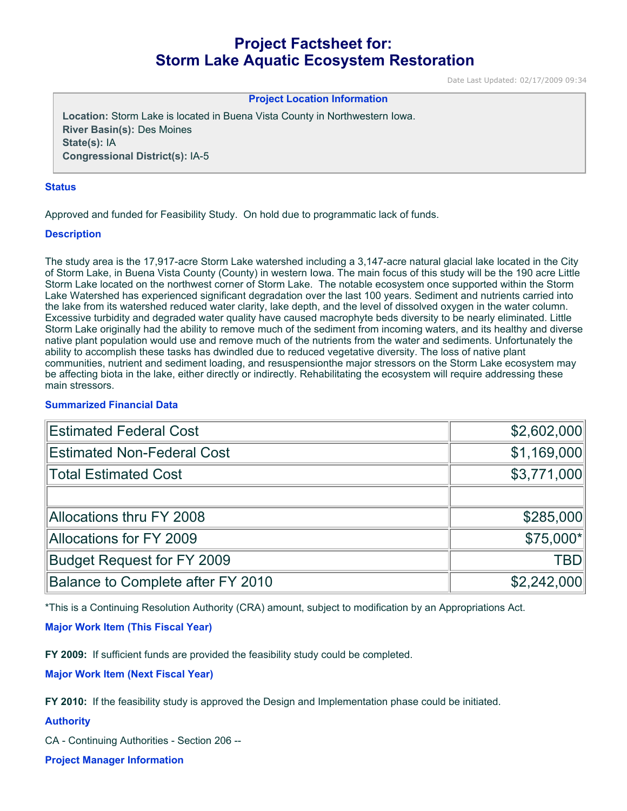# **Project Factsheet for: Storm Lake Aquatic Ecosystem Restoration**

Date Last Updated: 02/17/2009 09:34

#### **Project Location Information**

**Location:** Storm Lake is located in Buena Vista County in Northwestern Iowa. **River Basin(s):** Des Moines **State(s):** IA **Congressional District(s):** IA-5

#### **Status**

Approved and funded for Feasibility Study. On hold due to programmatic lack of funds.

#### **Description**

The study area is the 17,917-acre Storm Lake watershed including a 3,147-acre natural glacial lake located in the City of Storm Lake, in Buena Vista County (County) in western Iowa. The main focus of this study will be the 190 acre Little Storm Lake located on the northwest corner of Storm Lake. The notable ecosystem once supported within the Storm Lake Watershed has experienced significant degradation over the last 100 years. Sediment and nutrients carried into the lake from its watershed reduced water clarity, lake depth, and the level of dissolved oxygen in the water column. Excessive turbidity and degraded water quality have caused macrophyte beds diversity to be nearly eliminated. Little Storm Lake originally had the ability to remove much of the sediment from incoming waters, and its healthy and diverse native plant population would use and remove much of the nutrients from the water and sediments. Unfortunately the ability to accomplish these tasks has dwindled due to reduced vegetative diversity. The loss of native plant communities, nutrient and sediment loading, and resuspensionthe major stressors on the Storm Lake ecosystem may be affecting biota in the lake, either directly or indirectly. Rehabilitating the ecosystem will require addressing these main stressors.

# **Summarized Financial Data**

| <b>Estimated Federal Cost</b>     | \$2,602,000 |
|-----------------------------------|-------------|
| <b>Estimated Non-Federal Cost</b> | \$1,169,000 |
| <b>Total Estimated Cost</b>       | \$3,771,000 |
|                                   |             |
| <b>Allocations thru FY 2008</b>   | \$285,000   |
| <b>Allocations for FY 2009</b>    | \$75,000*   |
| <b>Budget Request for FY 2009</b> | <b>TBD</b>  |
| Balance to Complete after FY 2010 | \$2,242,000 |

\*This is a Continuing Resolution Authority (CRA) amount, subject to modification by an Appropriations Act.

## **Major Work Item (This Fiscal Year)**

**FY 2009:** If sufficient funds are provided the feasibility study could be completed.

**Major Work Item (Next Fiscal Year)**

**FY 2010:** If the feasibility study is approved the Design and Implementation phase could be initiated.

## **Authority**

CA - Continuing Authorities - Section 206 --

**Project Manager Information**